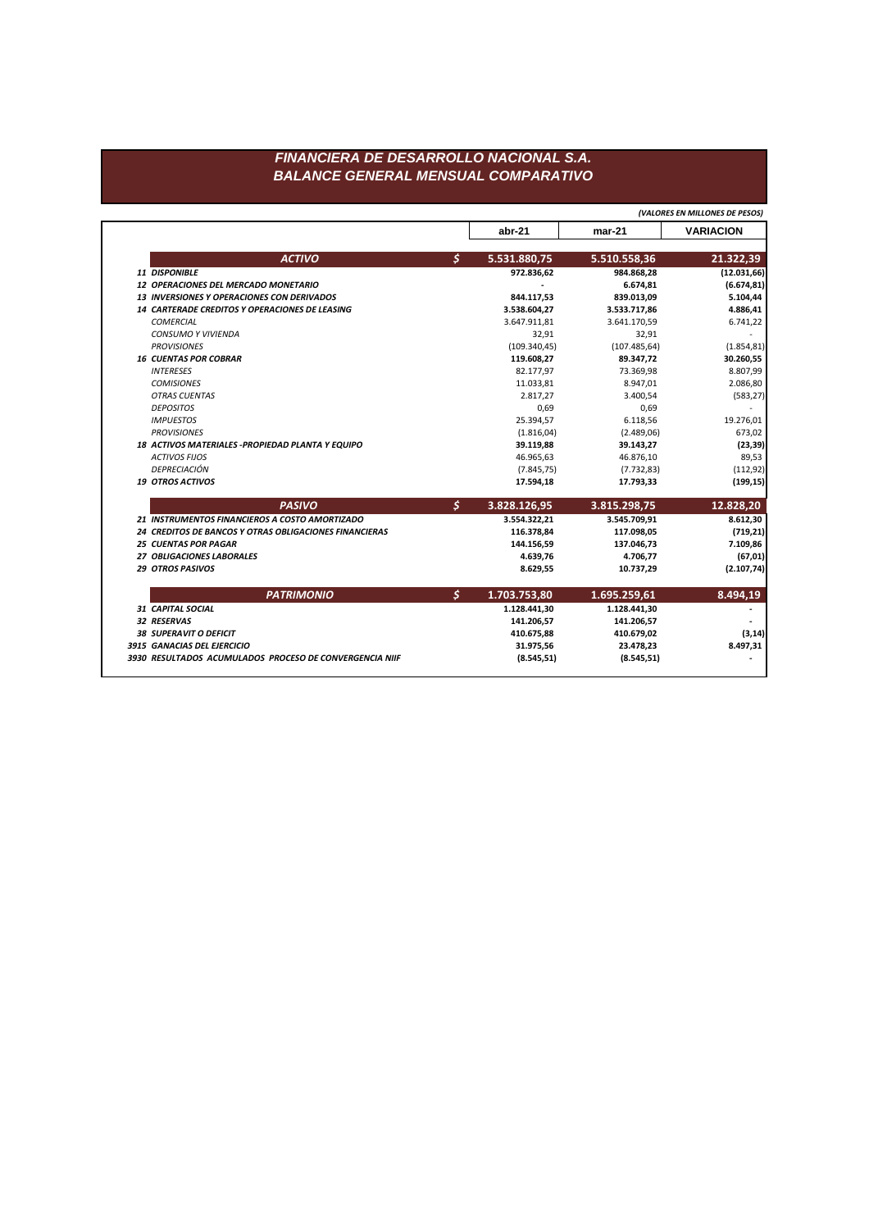## FINANCIERA DE DESARROLLO NACIONAL S.A. **BALANCE GENERAL MENSUAL COMPARATIVO**

(VALORES EN MILLONES DE PESOS)

|                                                        |                | abr-21        | $mar-21$      | <b>VARIACION</b> |
|--------------------------------------------------------|----------------|---------------|---------------|------------------|
| <b>ACTIVO</b>                                          | $\mathsf{S}$   | 5.531.880,75  | 5.510.558,36  | 21.322,39        |
| 11 DISPONIBLE                                          |                | 972.836,62    | 984.868,28    | (12.031,66)      |
| 12 OPERACIONES DEL MERCADO MONETARIO                   |                |               | 6.674,81      | (6.674, 81)      |
| <b>13 INVERSIONES Y OPERACIONES CON DERIVADOS</b>      |                | 844.117,53    | 839.013,09    | 5.104,44         |
| <b>14 CARTERADE CREDITOS Y OPERACIONES DE LEASING</b>  |                | 3.538.604,27  | 3.533.717,86  | 4.886,41         |
| COMERCIAL                                              |                | 3.647.911,81  | 3.641.170,59  | 6.741,22         |
| <b>CONSUMO Y VIVIENDA</b>                              |                | 32,91         | 32,91         |                  |
| <b>PROVISIONES</b>                                     |                | (109.340, 45) | (107.485, 64) | (1.854, 81)      |
| <b>16 CUENTAS POR COBRAR</b>                           |                | 119.608,27    | 89.347,72     | 30.260,55        |
| <b>INTERESES</b>                                       |                | 82.177,97     | 73.369,98     | 8.807,99         |
| <b>COMISIONES</b>                                      |                | 11.033,81     | 8.947,01      | 2.086,80         |
| <b>OTRAS CUENTAS</b>                                   |                | 2.817,27      | 3.400,54      | (583, 27)        |
| <b>DEPOSITOS</b>                                       |                | 0,69          | 0,69          |                  |
| <b>IMPUESTOS</b>                                       |                | 25.394,57     | 6.118,56      | 19.276,01        |
| <b>PROVISIONES</b>                                     |                | (1.816, 04)   | (2.489,06)    | 673,02           |
| 18 ACTIVOS MATERIALES - PROPIEDAD PLANTA Y EQUIPO      |                | 39.119,88     | 39.143,27     | (23, 39)         |
| <b>ACTIVOS FIJOS</b>                                   |                | 46.965,63     | 46.876,10     | 89,53            |
| DEPRECIACIÓN                                           |                | (7.845, 75)   | (7.732, 83)   | (112, 92)        |
| <b>19 OTROS ACTIVOS</b>                                |                | 17.594,18     | 17.793,33     | (199, 15)        |
| <b>PASIVO</b>                                          | \$             | 3.828.126,95  | 3.815.298,75  | 12.828,20        |
| 21 INSTRUMENTOS FINANCIEROS A COSTO AMORTIZADO         |                | 3.554.322,21  | 3.545.709,91  | 8.612,30         |
| 24 CREDITOS DE BANCOS Y OTRAS OBLIGACIONES FINANCIERAS |                | 116.378,84    | 117.098,05    | (719, 21)        |
| <b>25 CUENTAS POR PAGAR</b>                            |                | 144.156,59    | 137.046,73    | 7.109,86         |
| 27 OBLIGACIONES LABORALES                              |                | 4.639,76      | 4.706,77      | (67, 01)         |
| <b>29 OTROS PASIVOS</b>                                |                | 8.629,55      | 10.737,29     | (2.107, 74)      |
| <b>PATRIMONIO</b>                                      | $\mathsf{S}^-$ | 1.703.753,80  | 1.695.259,61  | 8.494,19         |
| 31 CAPITAL SOCIAL                                      |                | 1.128.441,30  | 1.128.441,30  |                  |
| 32 RESERVAS                                            |                | 141.206,57    | 141.206,57    |                  |
|                                                        |                | 410.675,88    | 410.679,02    | (3, 14)          |
| <b>38 SUPERAVIT O DEFICIT</b>                          |                |               |               |                  |
| 3915 GANACIAS DEL EJERCICIO                            |                | 31.975,56     | 23.478,23     | 8.497,31         |